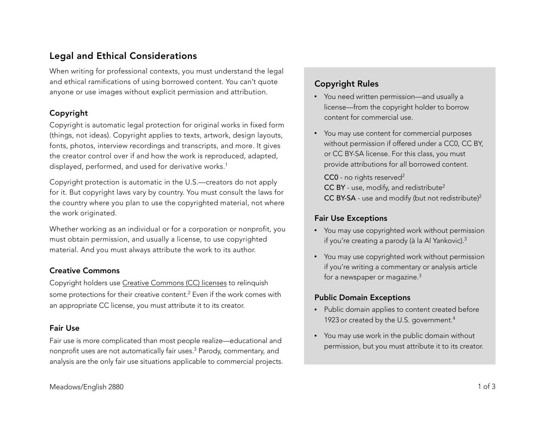# Legal and Ethical Considerations

When writing for professional contexts, you must understand the legal and ethical ramifications of using borrowed content. You can't quote anyone or use images without explicit permission and attribution.

### Copyright

Copyright is automatic legal protection for original works in fixed form (things, not ideas). Copyright applies to texts, artwork, design layouts, fonts, photos, interview recordings and transcripts, and more. It gives the creator control over if and how the work is reproduced, adapted, displayed, performed, and used for derivative works.<sup>1</sup>

Copyright protection is automatic in the U.S.—creators do not apply for it. But copyright laws vary by country. You must consult the laws for the country where you plan to use the copyrighted material, not where the work originated.

Whether working as an individual or for a corporation or nonprofit, you must obtain permission, and usually a license, to use copyrighted material. And you must always attribute the work to its author.

### Creative Commons

Copyright holders use [Creative Commons \(CC\) licenses](https://creativecommons.org/licenses/) to relinquish some protections for their creative content.<sup>2</sup> Even if the work comes with an appropriate CC license, you must attribute it to its creator.

### Fair Use

Fair use is more complicated than most people realize—educational and nonprofit uses are not automatically fair uses.3 Parody, commentary, and analysis are the only fair use situations applicable to commercial projects.

# Copyright Rules

- You need written permission—and usually a license—from the copyright holder to borrow content for commercial use.
- You may use content for commercial purposes without permission if offered under a CC0, CC BY, or CC BY-SA license. For this class, you must provide attributions for all borrowed content.

CC0 - no rights reserved<sup>2</sup> CC BY - use, modify, and redistribute<sup>2</sup> CC BY-SA - use and modify (but not redistribute)2

## Fair Use Exceptions

- You may use copyrighted work without permission if you're creating a parody (à la Al Yankovic).3
- You may use copyrighted work without permission if you're writing a commentary or analysis article for a newspaper or magazine. $3$

## Public Domain Exceptions

- Public domain applies to content created before 1923 or created by the U.S. government.<sup>4</sup>
- You may use work in the public domain without permission, but you must attribute it to its creator.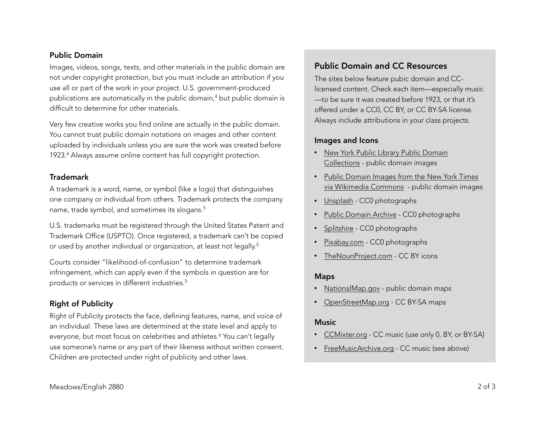#### Public Domain

Images, videos, songs, texts, and other materials in the public domain are not under copyright protection, but you must include an attribution if you use all or part of the work in your project. U.S. government-produced publications are automatically in the public domain,<sup>4</sup> but public domain is difficult to determine for other materials.

Very few creative works you find online are actually in the public domain. You cannot trust public domain notations on images and other content uploaded by individuals unless you are sure the work was created before 1923.4 Always assume online content has full copyright protection.

#### Trademark

A trademark is a word, name, or symbol (like a logo) that distinguishes one company or individual from others. Trademark protects the company name, trade symbol, and sometimes its slogans.5

U.S. trademarks must be registered through the United States Patent and Trademark Office (USPTO). Once registered, a trademark can't be copied or used by another individual or organization, at least not legally.<sup>5</sup>

Courts consider "likelihood-of-confusion" to determine trademark infringement, which can apply even if the symbols in question are for products or services in different industries.5

### Right of Publicity

Right of Publicity protects the face, defining features, name, and voice of an individual. These laws are determined at the state level and apply to everyone, but most focus on celebrities and athletes.<sup>6</sup> You can't legally use someone's name or any part of their likeness without written consent. Children are protected under right of publicity and other laws.

## Public Domain and CC Resources

The sites below feature pubic domain and CClicensed content. Check each item—especially music —to be sure it was created before 1923, or that it's offered under a CC0, CC BY, or CC BY-SA license. Always include attributions in your class projects.

#### Images and Icons

- [New York Public Library Public Domain](https://www.nypl.org/research/collections/digital-collections/public-domain)  Collections - public domain images
- Public Domain Images from the New York Times [via Wikimedia Commons - public domain images](https://commons.wikimedia.org/wiki/Category:Public_Domain_Images_from_the_New_York_Times)
- [Unsplash](https://unsplash.com/) CC0 photographs
- [Public Domain Archive](http://publicdomainarchive.com/) CC0 photographs
- [Splitshire](https://www.splitshire.com/)  CC0 photographs
- [Pixabay.com](http://pixabay.com)  CC0 photographs
- [TheNounProject.com](http://thenounproject.com) CC BY icons

#### Maps

- [NationalMap.gov](http://nationalmap.gov) public domain maps
- [OpenStreetMap.org](http://openstreetmap.org)  CC BY-SA maps

### **Music**

- [CCMixter.org](http://ccmixter.org) CC music (use only 0, BY, or BY-SA)
- [FreeMusicArchive.org](http://freemusicarchive.org/search/?quicksearch=) CC music (see above)